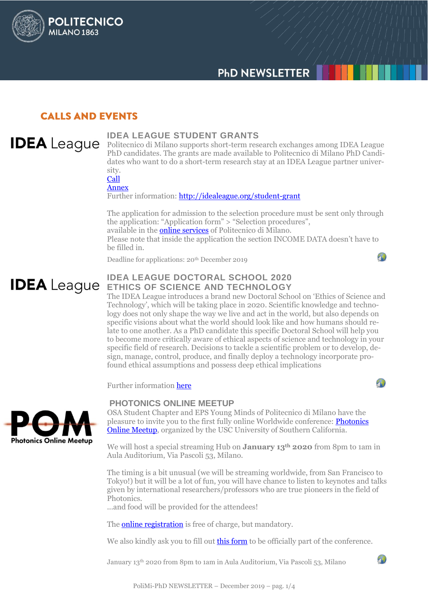

# **CALLS AND EVENTS**

**POLITECNICO** 

**MILANO 1863** 

#### **IDEA LEAGUE STUDENT GRANTS IDEA** League

Politecnico di Milano supports short-term research exchanges among IDEA League PhD candidates. The grants are made available to Politecnico di Milano PhD Candidates who want to do a short-term research stay at an IDEA League partner university.

[Call](http://www.dottorato.polimi.it/uploads/media/Bando_StudentsGrants_IDEA_2020_ITA.pdf) [Annex](http://www.dottorato.polimi.it/uploads/media/ANNEX-Bando__IDEA_2020.doc)

Further information: http://idealeague.org/student-grant

The application for admission to the selection procedure must be sent only through the application: "Application form" > "Selection procedures", available in the **online services** of Politecnico di Milano. Please note that inside the application the section INCOME DATA doesn't have to be filled in.

Deadline for applications: 20<sup>th</sup> December 2019

# **IDEA LEAGUE DOCTORAL SCHOOL 2020 IDEA** League ETHICS OF SCIENCE AND TECHNOLOGY

The IDEA League introduces a brand new Doctoral School on 'Ethics of Science and Technology', which will be taking place in 2020. Scientific knowledge and technology does not only shape the way we live and act in the world, but also depends on specific visions about what the world should look like and how humans should relate to one another. As a PhD candidate this specific Doctoral School will help you to become more critically aware of ethical aspects of science and technology in your specific field of research. Decisions to tackle a scientific problem or to develop, design, manage, control, produce, and finally deploy a technology incorporate profound ethical assumptions and possess deep ethical implications

Further information [here](http://www.dottorato.polimi.it/fileadmin/files/dottorato/newsletter/allegati/2019_12/Doctoral_School_Flyer_Ethics_2020.pdf)

#### **PHOTONICS ONLINE MEETUP**

 $\sqrt{1}$ 

 $\mathcal{D}$ 

 $\mathcal{L}$ 



OSA Student Chapter and EPS Young Minds of Politecnico di Milano have the pleasure to invite you to the first fully online Worldwide conference: [Photonics](https://sites.usc.edu/pom/)  [Online Meetup,](https://sites.usc.edu/pom/) organized by the USC University of Southern California.

We will host a special streaming Hub on **January 13th 2020** from 8pm to 1am in Aula Auditorium, Via Pascoli 53, Milano.

The timing is a bit unusual (we will be streaming worldwide, from San Francisco to Tokyo!) but it will be a lot of fun, you will have chance to listen to keynotes and talks given by international researchers/professors who are true pioneers in the field of Photonics.

...and food will be provided for the attendees!

The **online registration** is free of charge, but mandatory.

We also kindly ask you to fill out **this form** to be officially part of the conference.

January 13th 2020 from 8pm to 1am in Aula Auditorium, Via Pascoli 53, Milano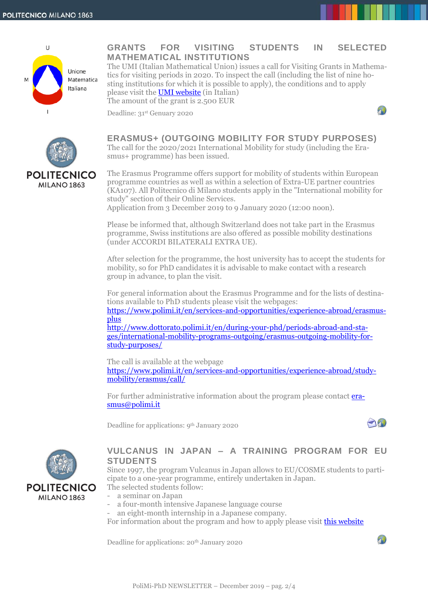

## **GRANTS FOR VISITING STUDENTS IN SELECTED MATHEMATICAL INSTITUTIONS**

The UMI (Italian Mathematical Union) issues a call for Visiting Grants in Mathematics for visiting periods in 2020. To inspect the call (including the list of nine hosting institutions for which it is possible to apply), the conditions and to apply please visit the [UMI website](http://umi.dm.unibo.it/2019/10/11/bando-2019-grant-per-visiting-students-2/) (in Italian) The amount of the grant is 2.500 EUR

Deadline: 31st Genuary 2020

smus+ programme) has been issued.



# **POLITECNICO** MILANO<sub>1863</sub>

The Erasmus Programme offers support for mobility of students within European programme countries as well as within a selection of Extra-UE partner countries (KA107). All Politecnico di Milano students apply in the "International mobility for

**ERASMUS+ (OUTGOING MOBILITY FOR STUDY PURPOSES)** The call for the 2020/2021 International Mobility for study (including the Era-

study" section of their Online Services. Application from 3 December 2019 to 9 January 2020 (12:00 noon).

Please be informed that, although Switzerland does not take part in the Erasmus programme, Swiss institutions are also offered as possible mobility destinations (under ACCORDI BILATERALI EXTRA UE).

After selection for the programme, the host university has to accept the students for mobility, so for PhD candidates it is advisable to make contact with a research group in advance, to plan the visit.

For general information about the Erasmus Programme and for the lists of destinations available to PhD students please visit the webpages:

[https://www.polimi.it/en/services-and-opportunities/experience-abroad/erasmus](https://www.polimi.it/en/services-and-opportunities/experience-abroad/erasmus-plus)[plus](https://www.polimi.it/en/services-and-opportunities/experience-abroad/erasmus-plus)

[http://www.dottorato.polimi.it/en/during-your-phd/periods-abroad-and-sta](http://www.dottorato.polimi.it/en/during-your-phd/periods-abroad-and-stages/international-mobility-programs-outgoing/erasmus-outgoing-mobility-for-study-purposes/)[ges/international-mobility-programs-outgoing/erasmus-outgoing-mobility-for](http://www.dottorato.polimi.it/en/during-your-phd/periods-abroad-and-stages/international-mobility-programs-outgoing/erasmus-outgoing-mobility-for-study-purposes/)[study-purposes/](http://www.dottorato.polimi.it/en/during-your-phd/periods-abroad-and-stages/international-mobility-programs-outgoing/erasmus-outgoing-mobility-for-study-purposes/)

The call is available at the webpage [https://www.polimi.it/en/services-and-opportunities/experience-abroad/study](https://www.polimi.it/en/services-and-opportunities/experience-abroad/study-mobility/erasmus/call/)[mobility/erasmus/call/](https://www.polimi.it/en/services-and-opportunities/experience-abroad/study-mobility/erasmus/call/)

For further administrative information about the program please contact **era**[smus@polimi.it](mailto:erasmus@polimi.it)

Deadline for applications: 9th January 2020





#### **VULCANUS IN JAPAN – A TRAINING PROGRAM FOR EU STUDENTS**

Since 1997, the program Vulcanus in Japan allows to EU/COSME students to participate to a one-year programme, entirely undertaken in Japan.

The selected students follow:

- a seminar on Japan
- a four-month intensive Japanese language course
- an eight-month internship in a Japanese company.

For information about the program and how to apply please visit **this website** 

Deadline for applications: 20<sup>th</sup> January 2020

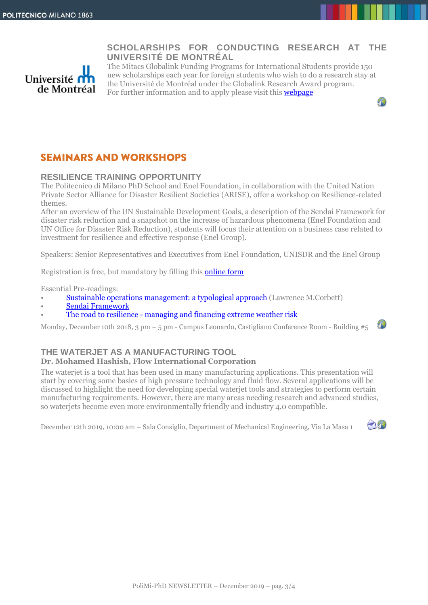## **SCHOLARSHIPS FOR CONDUCTING RESEARCH AT THE UNIVERSITÉ DE MONTRÉAL**



The Mitacs Globalink Funding Programs for International Students provide 150 new scholarships each year for foreign students who wish to do a research stay at the Université de Montréal under the Globalink Research Award program. For further information and to apply please visit this [webpage](https://international.umontreal.ca/english/international-students/special-scholarship-programs/mitacs-globalink-funding-programs-for-international-students/#c80345)

# **SEMINARS AND WORKSHOPS**

### **RESILIENCE TRAINING OPPORTUNITY**

The Politecnico di Milano PhD School and Enel Foundation, in collaboration with the United Nation Private Sector Alliance for Disaster Resilient Societies (ARISE), offer a workshop on Resilience-related themes.

After an overview of the UN Sustainable Development Goals, a description of the Sendai Framework for disaster risk reduction and a snapshot on the increase of hazardous phenomena (Enel Foundation and UN Office for Disaster Risk Reduction), students will focus their attention on a business case related to investment for resilience and effective response (Enel Group).

Speakers: Senior Representatives and Executives from Enel Foundation, UNISDR and the Enel Group

Registration is free, but mandatory by filling this [online form](https://goo.gl/forms/RnehfciOaAvpeZt92)

Essential Pre-readings:

- [Sustainable operations management: a typological approach](http://upcommons.upc.edu/bitstream/handle/2099/8142/Corbett.pdf) (Lawrence M.Corbett)
- [Sendai Framework](http://www.preventionweb.net/files/43291_sendaiframeworkfordrren.pdf)
- The road to resilience [managing and financing extreme weather risk](https://www.worldenergy.org/publications/2015/the-road-to-resilience-managing-and-financing-extreme-weather-risk/)

Monday, December 10th 2018, 3 pm – 5 pm - Campus Leonardo, Castigliano Conference Room - Building  $\#5$ 

#### **THE WATERJET AS A MANUFACTURING TOOL Dr. Mohamed Hashish, Flow International Corporation**

The waterjet is a tool that has been used in many manufacturing applications. This presentation will start by covering some basics of high pressure technology and fluid flow. Several applications will be discussed to highlight the need for developing special waterjet tools and strategies to perform certain manufacturing requirements. However, there are many areas needing research and advanced studies, so waterjets become even more environmentally friendly and industry 4.0 compatible.

December 12th 2019, 10:00 am – Sala Consiglio, Department of Mechanical Engineering, Via La Masa 1



 $\mathcal{L}$ 

40